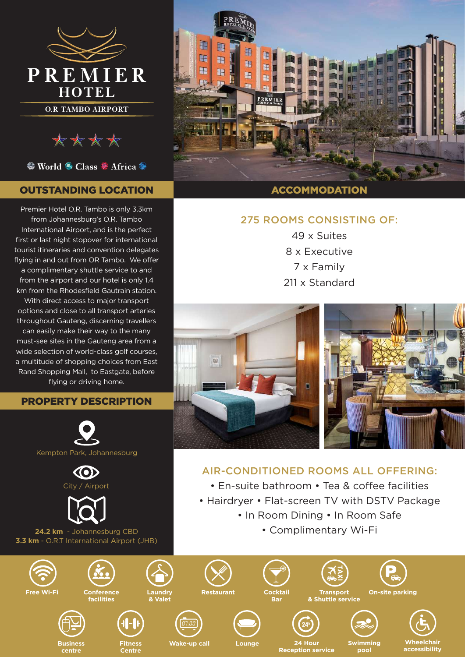

\*\*\*\*

<sup>©</sup> World <sup>⊙</sup> Class <sup>®</sup> Africa <sup>©</sup>

## OUTSTANDING LOCATION

Premier Hotel O.R. Tambo is only 3.3km from Johannesburg's O.R. Tambo International Airport, and is the perfect first or last night stopover for international tourist itineraries and convention delegates flying in and out from OR Tambo. We offer a complimentary shuttle service to and from the airport and our hotel is only 1.4 km from the Rhodesfield Gautrain station. With direct access to major transport options and close to all transport arteries throughout Gauteng, discerning travellers can easily make their way to the many must-see sites in the Gauteng area from a wide selection of world-class golf courses, a multitude of shopping choices from East Rand Shopping Mall, to Eastgate, before flying or driving home.

#### PROPERTY DESCRIPTION





**centre**



**Fitness Centre**



**Restaurant Cocktail**



 $\overline{a}$ 



**Bar**

**Wake-up call Lounge 24 Hour Reception service** **Swimming pool**

**Cn-site parking** 

**Wheelchair accessibility**



### ACCOMMODATION

## 275 ROOMS CONSISTING OF:

49 x Suites 8 x Executive 7 x Family 211 x Standard



# AIR-CONDITIONED ROOMS ALL OFFERING:

- En-suite bathroom Tea & coffee facilities
- Hairdryer Flat-screen TV with DSTV Package
	- In Room Dining In Room Safe
		- Complimentary Wi-Fi

**Transport & Shuttle service**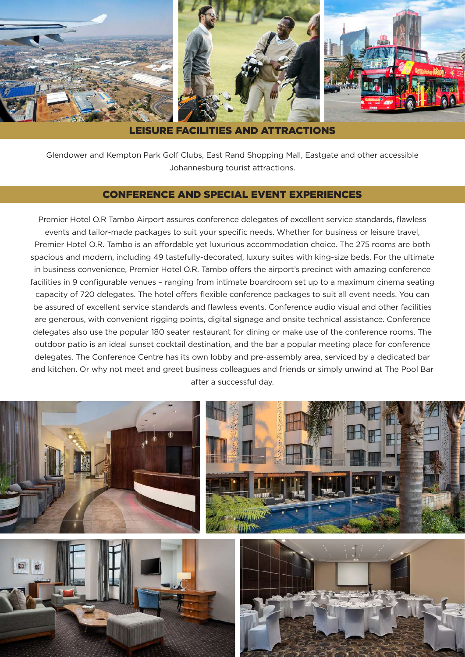

LEISURE FACILITIES AND ATTRACTIONS

Glendower and Kempton Park Golf Clubs, East Rand Shopping Mall, Eastgate and other accessible Johannesburg tourist attractions.

#### CONFERENCE AND SPECIAL EVENT EXPERIENCES

Premier Hotel O.R Tambo Airport assures conference delegates of excellent service standards, flawless events and tailor-made packages to suit your specific needs. Whether for business or leisure travel, Premier Hotel O.R. Tambo is an affordable yet luxurious accommodation choice. The 275 rooms are both spacious and modern, including 49 tastefully-decorated, luxury suites with king-size beds. For the ultimate in business convenience, Premier Hotel O.R. Tambo offers the airport's precinct with amazing conference facilities in 9 configurable venues – ranging from intimate boardroom set up to a maximum cinema seating capacity of 720 delegates. The hotel offers flexible conference packages to suit all event needs. You can be assured of excellent service standards and flawless events. Conference audio visual and other facilities are generous, with convenient rigging points, digital signage and onsite technical assistance. Conference delegates also use the popular 180 seater restaurant for dining or make use of the conference rooms. The outdoor patio is an ideal sunset cocktail destination, and the bar a popular meeting place for conference delegates. The Conference Centre has its own lobby and pre-assembly area, serviced by a dedicated bar and kitchen. Or why not meet and greet business colleagues and friends or simply unwind at The Pool Bar after a successful day.